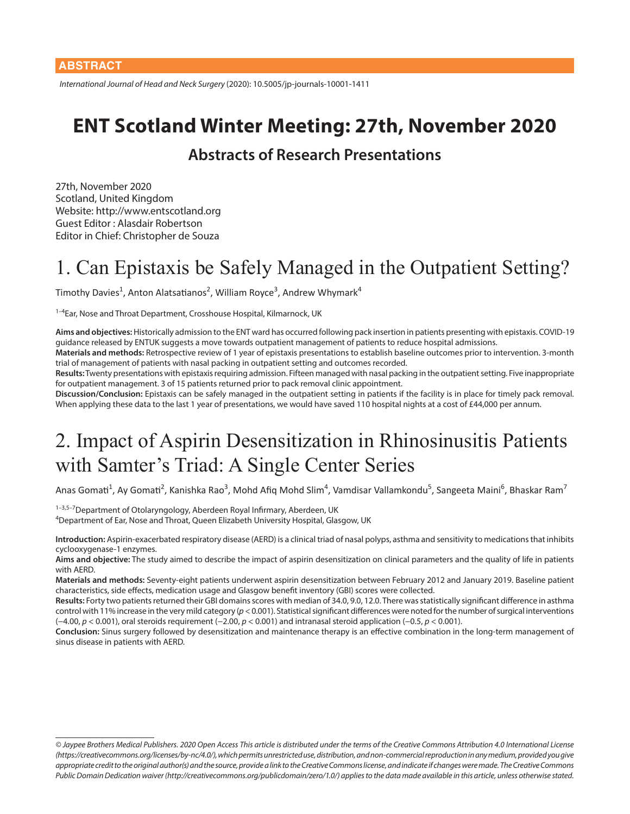*International Journal of Head and Neck Surgery* (2020): 10.5005/jp-journals-10001-1411

#### **ENT Scotland Winter Meeting: 27th, November 2020**

#### **Abstracts of Research Presentations**

27th, November 2020 Scotland, United Kingdom Website: http://www.entscotland.org Guest Editor : Alasdair Robertson Editor in Chief: Christopher de Souza

#### 1. Can Epistaxis be Safely Managed in the Outpatient Setting?

Timothy Davies<sup>1</sup>, Anton Alatsatianos<sup>2</sup>, William Royce<sup>3</sup>, Andrew Whymark<sup>4</sup>

<sup>1-4</sup>Ear, Nose and Throat Department, Crosshouse Hospital, Kilmarnock, UK

**Aims and objectives:** Historically admission to the ENT ward has occurred following pack insertion in patients presenting with epistaxis. COVID-19 guidance released by ENTUK suggests a move towards outpatient management of patients to reduce hospital admissions.

**Materials and methods:** Retrospective review of 1 year of epistaxis presentations to establish baseline outcomes prior to intervention. 3-month trial of management of patients with nasal packing in outpatient setting and outcomes recorded.

**Results:** Twenty presentations with epistaxis requiring admission. Fifteen managed with nasal packing in the outpatient setting. Five inappropriate for outpatient management. 3 of 15 patients returned prior to pack removal clinic appointment.

**Discussion/Conclusion:** Epistaxis can be safely managed in the outpatient setting in patients if the facility is in place for timely pack removal. When applying these data to the last 1 year of presentations, we would have saved 110 hospital nights at a cost of £44,000 per annum.

#### 2. Impact of Aspirin Desensitization in Rhinosinusitis Patients with Samter's Triad: A Single Center Series

Anas Gomati<sup>1</sup>, Ay Gomati<sup>2</sup>, Kanishka Rao<sup>3</sup>, Mohd Afiq Mohd Slim<sup>4</sup>, Vamdisar Vallamkondu<sup>5</sup>, Sangeeta Maini<sup>6</sup>, Bhaskar Ram<sup>7</sup>

1-3,5-7 Department of Otolaryngology, Aberdeen Royal Infirmary, Aberdeen, UK 4 Department of Ear, Nose and Throat, Queen Elizabeth University Hospital, Glasgow, UK

**Introduction:** Aspirin-exacerbated respiratory disease (AERD) is a clinical triad of nasal polyps, asthma and sensitivity to medications that inhibits cyclooxygenase-1 enzymes.

**Aims and objective:** The study aimed to describe the impact of aspirin desensitization on clinical parameters and the quality of life in patients with AERD.

**Materials and methods:** Seventy-eight patients underwent aspirin desensitization between February 2012 and January 2019. Baseline patient characteristics, side effects, medication usage and Glasgow benefit inventory (GBI) scores were collected.

**Results:** Forty two patients returned their GBI domains scores with median of 34.0, 9.0, 12.0. There was statistically significant difference in asthma control with 11% increase in the very mild category (*p* < 0.001). Statistical significant differences were noted for the number of surgical interventions (−4.00, *p* < 0.001), oral steroids requirement (−2.00, *p* < 0.001) and intranasal steroid application (−0.5, *p* < 0.001).

**Conclusion:** Sinus surgery followed by desensitization and maintenance therapy is an effective combination in the long-term management of sinus disease in patients with AERD.

*<sup>©</sup> Jaypee Brothers Medical Publishers. 2020 Open Access This article is distributed under the terms of the Creative Commons Attribution 4.0 International License (https://creativecommons.org/licenses/by-nc/4.0/), which permits unrestricted use, distribution, and non-commercial reproduction in any medium, provided you give appropriate credit to the original author(s) and the source, provide a link to the Creative Commons license, and indicate if changes were made. The Creative Commons Public Domain Dedication waiver (http://creativecommons.org/publicdomain/zero/1.0/) applies to the data made available in this article, unless otherwise stated.*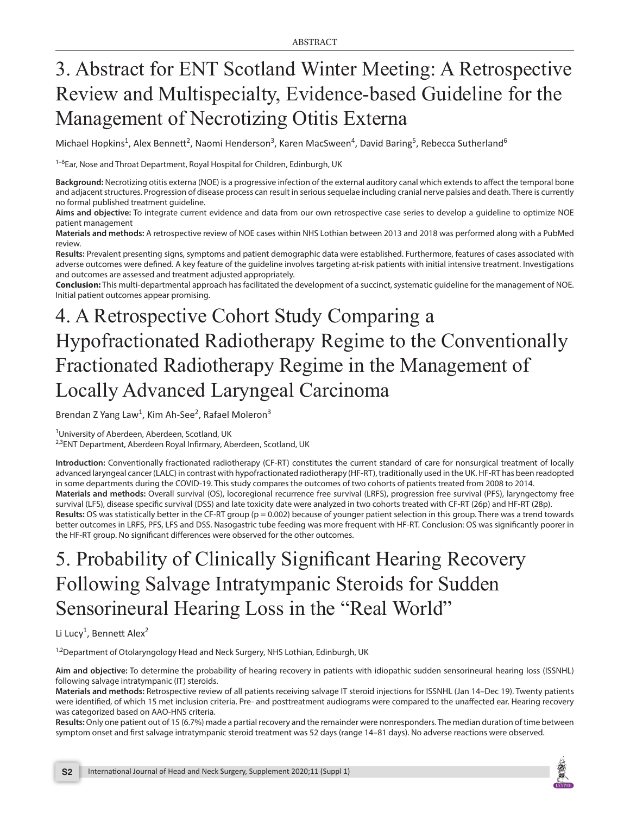# 3. Abstract for ENT Scotland Winter Meeting: A Retrospective Review and Multispecialty, Evidence-based Guideline for the Management of Necrotizing Otitis Externa

Michael Hopkins<sup>1</sup>, Alex Bennett<sup>2</sup>, Naomi Henderson<sup>3</sup>, Karen MacSween<sup>4</sup>, David Baring<sup>5</sup>, Rebecca Sutherland<sup>6</sup>

<sup>1-6</sup>Ear, Nose and Throat Department, Royal Hospital for Children, Edinburgh, UK

**Background:** Necrotizing otitis externa (NOE) is a progressive infection of the external auditory canal which extends to affect the temporal bone and adjacent structures. Progression of disease process can result in serious sequelae including cranial nerve palsies and death. There is currently no formal published treatment guideline.

**Aims and objective:** To integrate current evidence and data from our own retrospective case series to develop a guideline to optimize NOE patient management

**Materials and methods:** A retrospective review of NOE cases within NHS Lothian between 2013 and 2018 was performed along with a PubMed review.

**Results:** Prevalent presenting signs, symptoms and patient demographic data were established. Furthermore, features of cases associated with adverse outcomes were defined. A key feature of the guideline involves targeting at-risk patients with initial intensive treatment. Investigations and outcomes are assessed and treatment adjusted appropriately.

**Conclusion:** This multi-departmental approach has facilitated the development of a succinct, systematic guideline for the management of NOE. Initial patient outcomes appear promising.

# 4. A Retrospective Cohort Study Comparing a Hypofractionated Radiotherapy Regime to the Conventionally Fractionated Radiotherapy Regime in the Management of Locally Advanced Laryngeal Carcinoma

Brendan Z Yang Law<sup>1</sup>, Kim Ah-See<sup>2</sup>, Rafael Moleron<sup>3</sup>

<sup>1</sup>University of Aberdeen, Aberdeen, Scotland, UK

<sup>2,3</sup>ENT Department, Aberdeen Royal Infirmary, Aberdeen, Scotland, UK

**Introduction:** Conventionally fractionated radiotherapy (CF-RT) constitutes the current standard of care for nonsurgical treatment of locally advanced laryngeal cancer (LALC) in contrast with hypofractionated radiotherapy (HF-RT), traditionally used in the UK. HF-RT has been readopted in some departments during the COVID-19. This study compares the outcomes of two cohorts of patients treated from 2008 to 2014. **Materials and methods:** Overall survival (OS), locoregional recurrence free survival (LRFS), progression free survival (PFS), laryngectomy free survival (LFS), disease specific survival (DSS) and late toxicity date were analyzed in two cohorts treated with CF-RT (26p) and HF-RT (28p). **Results:** OS was statistically better in the CF-RT group (p = 0.002) because of younger patient selection in this group. There was a trend towards better outcomes in LRFS, PFS, LFS and DSS. Nasogastric tube feeding was more frequent with HF-RT. Conclusion: OS was significantly poorer in the HF-RT group. No significant differences were observed for the other outcomes.

## 5. Probability of Clinically Significant Hearing Recovery Following Salvage Intratympanic Steroids for Sudden Sensorineural Hearing Loss in the "Real World"

Li Lucy<sup>1</sup>, Bennett Alex<sup>2</sup>

<sup>1,2</sup>Department of Otolaryngology Head and Neck Surgery, NHS Lothian, Edinburgh, UK

**Aim and objective:** To determine the probability of hearing recovery in patients with idiopathic sudden sensorineural hearing loss (ISSNHL) following salvage intratympanic (IT) steroids.

**Materials and methods:** Retrospective review of all patients receiving salvage IT steroid injections for ISSNHL (Jan 14–Dec 19). Twenty patients were identified, of which 15 met inclusion criteria. Pre- and posttreatment audiograms were compared to the unaffected ear. Hearing recovery was categorized based on AAO-HNS criteria.

**Results:** Only one patient out of 15 (6.7%) made a partial recovery and the remainder were nonresponders. The median duration of time between symptom onset and first salvage intratympanic steroid treatment was 52 days (range 14–81 days). No adverse reactions were observed.

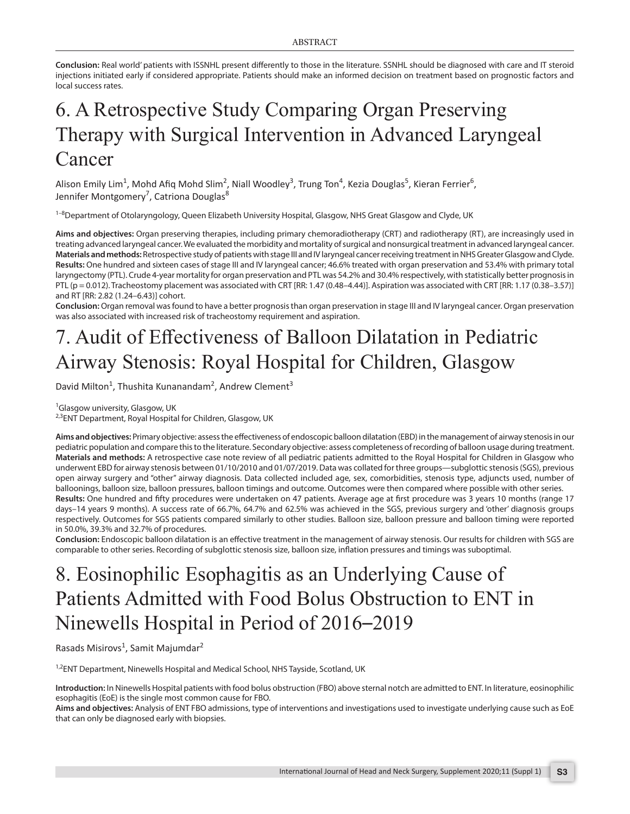**Conclusion:** Real world' patients with ISSNHL present differently to those in the literature. SSNHL should be diagnosed with care and IT steroid injections initiated early if considered appropriate. Patients should make an informed decision on treatment based on prognostic factors and local success rates.

#### 6. A Retrospective Study Comparing Organ Preserving Therapy with Surgical Intervention in Advanced Laryngeal Cancer

Alison Emily Lim<sup>1</sup>, Mohd Afiq Mohd Slim<sup>2</sup>, Niall Woodley<sup>3</sup>, Trung Ton<sup>4</sup>, Kezia Douglas<sup>5</sup>, Kieran Ferrier<sup>6</sup>, Jennifer Montgomery<sup>7</sup>, Catriona Douglas<sup>8</sup>

<sup>1-8</sup>Department of Otolaryngology, Queen Elizabeth University Hospital, Glasgow, NHS Great Glasgow and Clyde, UK

**Aims and objectives:** Organ preserving therapies, including primary chemoradiotherapy (CRT) and radiotherapy (RT), are increasingly used in treating advanced laryngeal cancer. We evaluated the morbidity and mortality of surgical and nonsurgical treatment in advanced laryngeal cancer. **Materials and methods:** Retrospective study of patients with stage III and IV laryngeal cancer receiving treatment in NHS Greater Glasgow and Clyde. **Results:** One hundred and sixteen cases of stage III and IV laryngeal cancer; 46.6% treated with organ preservation and 53.4% with primary total laryngectomy (PTL). Crude 4-year mortality for organ preservation and PTL was 54.2% and 30.4% respectively, with statistically better prognosis in PTL (p = 0.012). Tracheostomy placement was associated with CRT [RR: 1.47 (0.48-4.44)]. Aspiration was associated with CRT [RR: 1.17 (0.38-3.57)] and RT [RR: 2.82 (1.24–6.43)] cohort.

**Conclusion:** Organ removal was found to have a better prognosis than organ preservation in stage III and IV laryngeal cancer. Organ preservation was also associated with increased risk of tracheostomy requirement and aspiration.

## 7. Audit of Effectiveness of Balloon Dilatation in Pediatric Airway Stenosis: Royal Hospital for Children, Glasgow

David Milton<sup>1</sup>, Thushita Kunanandam<sup>2</sup>, Andrew Clement<sup>3</sup>

<sup>1</sup>Glasgow university, Glasgow, UK

<sup>2,3</sup>ENT Department, Royal Hospital for Children, Glasgow, UK

**Aims and objectives:** Primary objective: assess the effectiveness of endoscopic balloon dilatation (EBD) in the management of airway stenosis in our pediatric population and compare this to the literature. Secondary objective: assess completeness of recording of balloon usage during treatment. **Materials and methods:** A retrospective case note review of all pediatric patients admitted to the Royal Hospital for Children in Glasgow who underwent EBD for airway stenosis between 01/10/2010 and 01/07/2019. Data was collated for three groups—subglottic stenosis (SGS), previous open airway surgery and "other" airway diagnosis. Data collected included age, sex, comorbidities, stenosis type, adjuncts used, number of balloonings, balloon size, balloon pressures, balloon timings and outcome. Outcomes were then compared where possible with other series. **Results:** One hundred and fifty procedures were undertaken on 47 patients. Average age at first procedure was 3 years 10 months (range 17 days–14 years 9 months). A success rate of 66.7%, 64.7% and 62.5% was achieved in the SGS, previous surgery and 'other' diagnosis groups respectively. Outcomes for SGS patients compared similarly to other studies. Balloon size, balloon pressure and balloon timing were reported in 50.0%, 39.3% and 32.7% of procedures.

**Conclusion:** Endoscopic balloon dilatation is an effective treatment in the management of airway stenosis. Our results for children with SGS are comparable to other series. Recording of subglottic stenosis size, balloon size, inflation pressures and timings was suboptimal.

## 8. Eosinophilic Esophagitis as an Underlying Cause of Patients Admitted with Food Bolus Obstruction to ENT in Ninewells Hospital in Period of 2016–2019

Rasads Misirovs<sup>1</sup>, Samit Majumdar<sup>2</sup>

<sup>1,2</sup>ENT Department, Ninewells Hospital and Medical School, NHS Tayside, Scotland, UK

**Introduction:** In Ninewells Hospital patients with food bolus obstruction (FBO) above sternal notch are admitted to ENT. In literature, eosinophilic esophagitis (EoE) is the single most common cause for FBO.

**Aims and objectives:** Analysis of ENT FBO admissions, type of interventions and investigations used to investigate underlying cause such as EoE that can only be diagnosed early with biopsies.